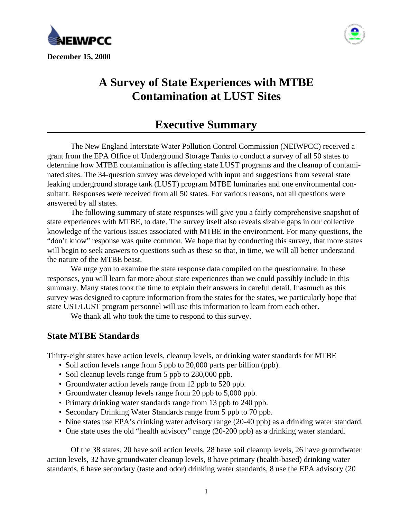



# **A Survey of State Experiences with MTBE Contamination at LUST Sites**

## **Executive Summary**

The New England Interstate Water Pollution Control Commission (NEIWPCC) received a grant from the EPA Office of Underground Storage Tanks to conduct a survey of all 50 states to determine how MTBE contamination is affecting state LUST programs and the cleanup of contaminated sites. The 34-question survey was developed with input and suggestions from several state leaking underground storage tank (LUST) program MTBE luminaries and one environmental consultant. Responses were received from all 50 states. For various reasons, not all questions were answered by all states.

The following summary of state responses will give you a fairly comprehensive snapshot of state experiences with MTBE, to date. The survey itself also reveals sizable gaps in our collective knowledge of the various issues associated with MTBE in the environment. For many questions, the "don't know" response was quite common. We hope that by conducting this survey, that more states will begin to seek answers to questions such as these so that, in time, we will all better understand the nature of the MTBE beast.

We urge you to examine the state response data compiled on the questionnaire. In these responses, you will learn far more about state experiences than we could possibly include in this summary. Many states took the time to explain their answers in careful detail. Inasmuch as this survey was designed to capture information from the states for the states, we particularly hope that state UST/LUST program personnel will use this information to learn from each other.

We thank all who took the time to respond to this survey.

## **State MTBE Standards**

Thirty-eight states have action levels, cleanup levels, or drinking water standards for MTBE

- Soil action levels range from 5 ppb to 20,000 parts per billion (ppb).
- Soil cleanup levels range from 5 ppb to 280,000 ppb.
- Groundwater action levels range from 12 ppb to 520 ppb.
- Groundwater cleanup levels range from 20 ppb to 5,000 ppb.
- Primary drinking water standards range from 13 ppb to 240 ppb.
- Secondary Drinking Water Standards range from 5 ppb to 70 ppb.
- Nine states use EPA's drinking water advisory range (20-40 ppb) as a drinking water standard.
- One state uses the old "health advisory" range (20-200 ppb) as a drinking water standard.

Of the 38 states, 20 have soil action levels, 28 have soil cleanup levels, 26 have groundwater action levels, 32 have groundwater cleanup levels, 8 have primary (health-based) drinking water standards, 6 have secondary (taste and odor) drinking water standards, 8 use the EPA advisory (20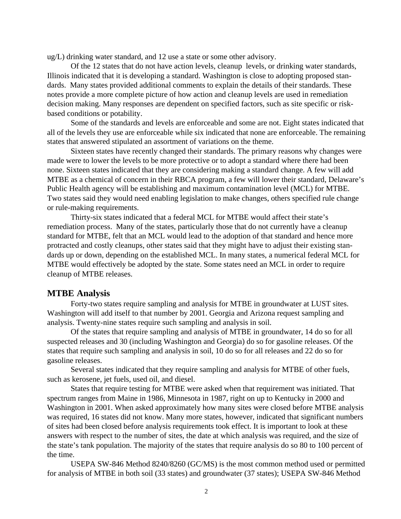ug/L) drinking water standard, and 12 use a state or some other advisory.

Of the 12 states that do not have action levels, cleanup levels, or drinking water standards, Illinois indicated that it is developing a standard. Washington is close to adopting proposed standards. Many states provided additional comments to explain the details of their standards. These notes provide a more complete picture of how action and cleanup levels are used in remediation decision making. Many responses are dependent on specified factors, such as site specific or riskbased conditions or potability.

Some of the standards and levels are enforceable and some are not. Eight states indicated that all of the levels they use are enforceable while six indicated that none are enforceable. The remaining states that answered stipulated an assortment of variations on the theme.

Sixteen states have recently changed their standards. The primary reasons why changes were made were to lower the levels to be more protective or to adopt a standard where there had been none. Sixteen states indicated that they are considering making a standard change. A few will add MTBE as a chemical of concern in their RBCA program, a few will lower their standard, Delaware's Public Health agency will be establishing and maximum contamination level (MCL) for MTBE. Two states said they would need enabling legislation to make changes, others specified rule change or rule-making requirements.

Thirty-six states indicated that a federal MCL for MTBE would affect their state's remediation process. Many of the states, particularly those that do not currently have a cleanup standard for MTBE, felt that an MCL would lead to the adoption of that standard and hence more protracted and costly cleanups, other states said that they might have to adjust their existing standards up or down, depending on the established MCL. In many states, a numerical federal MCL for MTBE would effectively be adopted by the state. Some states need an MCL in order to require cleanup of MTBE releases.

#### **MTBE Analysis**

Forty-two states require sampling and analysis for MTBE in groundwater at LUST sites. Washington will add itself to that number by 2001. Georgia and Arizona request sampling and analysis. Twenty-nine states require such sampling and analysis in soil.

Of the states that require sampling and analysis of MTBE in groundwater, 14 do so for all suspected releases and 30 (including Washington and Georgia) do so for gasoline releases. Of the states that require such sampling and analysis in soil, 10 do so for all releases and 22 do so for gasoline releases.

Several states indicated that they require sampling and analysis for MTBE of other fuels, such as kerosene, jet fuels, used oil, and diesel.

States that require testing for MTBE were asked when that requirement was initiated. That spectrum ranges from Maine in 1986, Minnesota in 1987, right on up to Kentucky in 2000 and Washington in 2001. When asked approximately how many sites were closed before MTBE analysis was required, 16 states did not know. Many more states, however, indicated that significant numbers of sites had been closed before analysis requirements took effect. It is important to look at these answers with respect to the number of sites, the date at which analysis was required, and the size of the state's tank population. The majority of the states that require analysis do so 80 to 100 percent of the time.

USEPA SW-846 Method 8240/8260 (GC/MS) is the most common method used or permitted for analysis of MTBE in both soil (33 states) and groundwater (37 states); USEPA SW-846 Method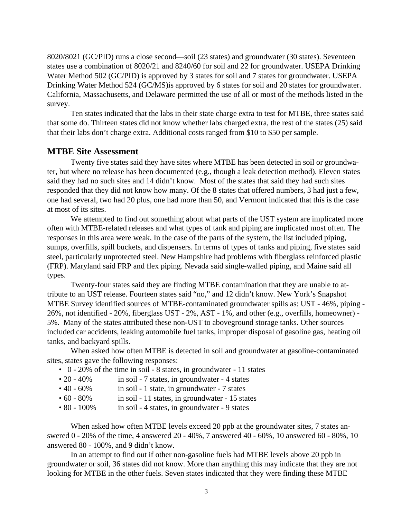8020/8021 (GC/PID) runs a close second—soil (23 states) and groundwater (30 states). Seventeen states use a combination of 8020/21 and 8240/60 for soil and 22 for groundwater. USEPA Drinking Water Method 502 (GC/PID) is approved by 3 states for soil and 7 states for groundwater. USEPA Drinking Water Method 524 (GC/MS)is approved by 6 states for soil and 20 states for groundwater. California, Massachusetts, and Delaware permitted the use of all or most of the methods listed in the survey.

Ten states indicated that the labs in their state charge extra to test for MTBE, three states said that some do. Thirteen states did not know whether labs charged extra, the rest of the states (25) said that their labs don't charge extra. Additional costs ranged from \$10 to \$50 per sample.

#### **MTBE Site Assessment**

Twenty five states said they have sites where MTBE has been detected in soil or groundwater, but where no release has been documented (e.g., though a leak detection method). Eleven states said they had no such sites and 14 didn't know. Most of the states that said they had such sites responded that they did not know how many. Of the 8 states that offered numbers, 3 had just a few, one had several, two had 20 plus, one had more than 50, and Vermont indicated that this is the case at most of its sites.

We attempted to find out something about what parts of the UST system are implicated more often with MTBE-related releases and what types of tank and piping are implicated most often. The responses in this area were weak. In the case of the parts of the system, the list included piping, sumps, overfills, spill buckets, and dispensers. In terms of types of tanks and piping, five states said steel, particularly unprotected steel. New Hampshire had problems with fiberglass reinforced plastic (FRP). Maryland said FRP and flex piping. Nevada said single-walled piping, and Maine said all types.

Twenty-four states said they are finding MTBE contamination that they are unable to attribute to an UST release. Fourteen states said "no," and 12 didn't know. New York's Snapshot MTBE Survey identified sources of MTBE-contaminated groundwater spills as: UST - 46%, piping - 26%, not identified - 20%, fiberglass UST - 2%, AST - 1%, and other (e.g., overfills, homeowner) - 5%. Many of the states attributed these non-UST to aboveground storage tanks. Other sources included car accidents, leaking automobile fuel tanks, improper disposal of gasoline gas, heating oil tanks, and backyard spills.

When asked how often MTBE is detected in soil and groundwater at gasoline-contaminated sites, states gave the following responses:

- 0 20% of the time in soil 8 states, in groundwater 11 states
- 20 40% in soil 7 states, in groundwater 4 states
- 40 60% in soil 1 state, in groundwater 7 states
- 60 80% in soil 11 states, in groundwater 15 states
- 80 100% in soil 4 states, in groundwater 9 states

When asked how often MTBE levels exceed 20 ppb at the groundwater sites, 7 states answered 0 - 20% of the time, 4 answered 20 - 40%, 7 answered 40 - 60%, 10 answered 60 - 80%, 10 answered 80 - 100%, and 9 didn't know.

In an attempt to find out if other non-gasoline fuels had MTBE levels above 20 ppb in groundwater or soil, 36 states did not know. More than anything this may indicate that they are not looking for MTBE in the other fuels. Seven states indicated that they were finding these MTBE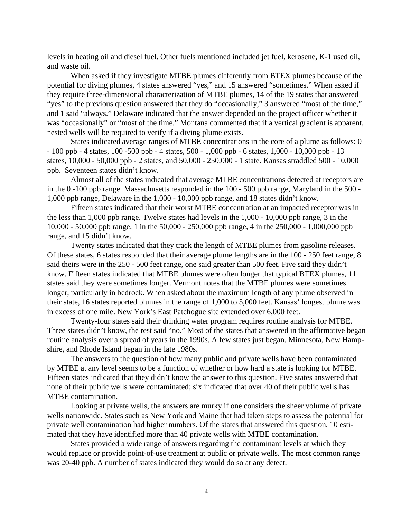levels in heating oil and diesel fuel. Other fuels mentioned included jet fuel, kerosene, K-1 used oil, and waste oil.

When asked if they investigate MTBE plumes differently from BTEX plumes because of the potential for diving plumes, 4 states answered "yes," and 15 answered "sometimes." When asked if they require three-dimensional characterization of MTBE plumes, 14 of the 19 states that answered "yes" to the previous question answered that they do "occasionally," 3 answered "most of the time," and 1 said "always." Delaware indicated that the answer depended on the project officer whether it was "occasionally" or "most of the time." Montana commented that if a vertical gradient is apparent, nested wells will be required to verify if a diving plume exists.

States indicated <u>average</u> ranges of MTBE concentrations in the core of a plume as follows: 0 - 100 ppb - 4 states, 100 -500 ppb - 4 states, 500 - 1,000 ppb - 6 states, 1,000 - 10,000 ppb - 13 states, 10,000 - 50,000 ppb - 2 states, and 50,000 - 250,000 - 1 state. Kansas straddled 500 - 10,000 ppb. Seventeen states didn't know.

Almost all of the states indicated that average MTBE concentrations detected at receptors are in the 0 -100 ppb range. Massachusetts responded in the 100 - 500 ppb range, Maryland in the 500 - 1,000 ppb range, Delaware in the 1,000 - 10,000 ppb range, and 18 states didn't know.

Fifteen states indicated that their worst MTBE concentration at an impacted receptor was in the less than 1,000 ppb range. Twelve states had levels in the 1,000 - 10,000 ppb range, 3 in the 10,000 - 50,000 ppb range, 1 in the 50,000 - 250,000 ppb range, 4 in the 250,000 - 1,000,000 ppb range, and 15 didn't know.

Twenty states indicated that they track the length of MTBE plumes from gasoline releases. Of these states, 6 states responded that their average plume lengths are in the 100 - 250 feet range, 8 said theirs were in the 250 - 500 feet range, one said greater than 500 feet. Five said they didn't know. Fifteen states indicated that MTBE plumes were often longer that typical BTEX plumes, 11 states said they were sometimes longer. Vermont notes that the MTBE plumes were sometimes longer, particularly in bedrock. When asked about the maximum length of any plume observed in their state, 16 states reported plumes in the range of 1,000 to 5,000 feet. Kansas' longest plume was in excess of one mile. New York's East Patchogue site extended over 6,000 feet.

Twenty-four states said their drinking water program requires routine analysis for MTBE. Three states didn't know, the rest said "no." Most of the states that answered in the affirmative began routine analysis over a spread of years in the 1990s. A few states just began. Minnesota, New Hampshire, and Rhode Island began in the late 1980s.

The answers to the question of how many public and private wells have been contaminated by MTBE at any level seems to be a function of whether or how hard a state is looking for MTBE. Fifteen states indicated that they didn't know the answer to this question. Five states answered that none of their public wells were contaminated; six indicated that over 40 of their public wells has MTBE contamination.

Looking at private wells, the answers are murky if one considers the sheer volume of private wells nationwide. States such as New York and Maine that had taken steps to assess the potential for private well contamination had higher numbers. Of the states that answered this question, 10 estimated that they have identified more than 40 private wells with MTBE contamination.

States provided a wide range of answers regarding the contaminant levels at which they would replace or provide point-of-use treatment at public or private wells. The most common range was 20-40 ppb. A number of states indicated they would do so at any detect.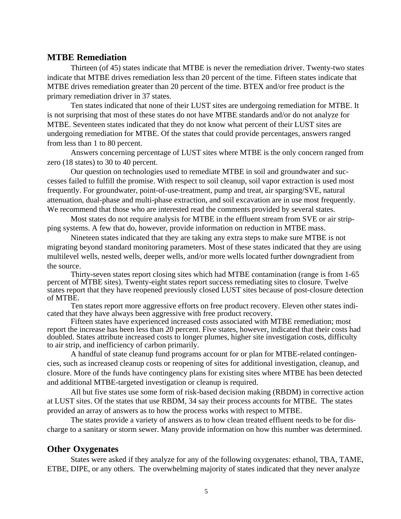#### **MTBE Remediation**

Thirteen (of 45) states indicate that MTBE is never the remediation driver. Twenty-two states indicate that MTBE drives remediation less than 20 percent of the time. Fifteen states indicate that MTBE drives remediation greater than 20 percent of the time. BTEX and/or free product is the primary remediation driver in 37 states.

Ten states indicated that none of their LUST sites are undergoing remediation for MTBE. It is not surprising that most of these states do not have MTBE standards and/or do not analyze for MTBE. Seventeen states indicated that they do not know what percent of their LUST sites are undergoing remediation for MTBE. Of the states that could provide percentages, answers ranged from less than 1 to 80 percent.

Answers concerning percentage of LUST sites where MTBE is the only concern ranged from zero (18 states) to 30 to 40 percent.

Our question on technologies used to remediate MTBE in soil and groundwater and successes failed to fulfill the promise. With respect to soil cleanup, soil vapor extraction is used most frequently. For groundwater, point-of-use-treatment, pump and treat, air sparging/SVE, natural attenuation, dual-phase and multi-phase extraction, and soil excavation are in use most frequently. We recommend that those who are interested read the comments provided by several states.

Most states do not require analysis for MTBE in the effluent stream from SVE or air stripping systems. A few that do, however, provide information on reduction in MTBE mass.

Nineteen states indicated that they are taking any extra steps to make sure MTBE is not migrating beyond standard monitoring parameters. Most of these states indicated that they are using multilevel wells, nested wells, deeper wells, and/or more wells located further downgradient from the source.

Thirty-seven states report closing sites which had MTBE contamination (range is from 1-65 percent of MTBE sites). Twenty-eight states report success remediating sites to closure. Twelve states report that they have reopened previously closed LUST sites because of post-closure detection of MTBE.

Ten states report more aggressive efforts on free product recovery. Eleven other states indicated that they have always been aggressive with free product recovery.

Fifteen states have experienced increased costs associated with MTBE remediation; most report the increase has been less than 20 percent. Five states, however, indicated that their costs had doubled. States attribute increased costs to longer plumes, higher site investigation costs, difficulty to air strip, and inefficiency of carbon primarily.

A handful of state cleanup fund programs account for or plan for MTBE-related contingencies, such as increased cleanup costs or reopening of sites for additional investigation, cleanup, and closure. More of the funds have contingency plans for existing sites where MTBE has been detected and additional MTBE-targeted investigation or cleanup is required.

All but five states use some form of risk-based decision making (RBDM) in corrective action at LUST sites. Of the states that use RBDM, 34 say their process accounts for MTBE. The states provided an array of answers as to how the process works with respect to MTBE.

The states provide a variety of answers as to how clean treated effluent needs to be for discharge to a sanitary or storm sewer. Many provide information on how this number was determined.

#### **Other Oxygenates**

States were asked if they analyze for any of the following oxygenates: ethanol, TBA, TAME, ETBE, DIPE, or any others. The overwhelming majority of states indicated that they never analyze